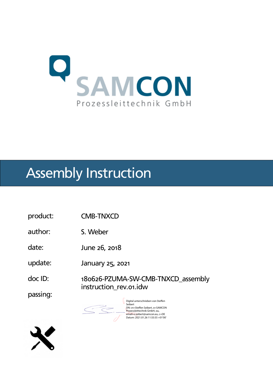

## Assembly Instruction

- product: CMB-TNXCD
- author: S. Weber
- date: June 26, 2018
- update: January 25, <sup>2021</sup>
- doc ID: 180626-PZUMA-SW-CMB-TNXCD\_assembly instruction\_rev.01.idw

passing:



Digital unterschrieben von Steffen Seibert DN: cn=Steffen Seibert, o=SAMCON Prozessleittechnik GmbH, ou,<br>email=s.seibert@samcon.eu, c=DE<br>Datum: 2021.01.26 11:55:55 +01'00'

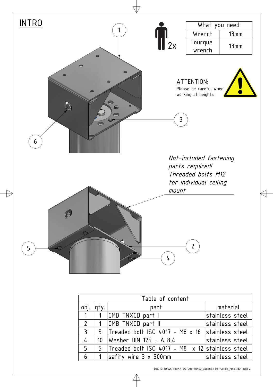

 $\sqrt{ }$ 

Doc. ID: 180626-PZUMA-SW-CMB-TNXCD\_assembly instruction\_rev.01.idw; page 2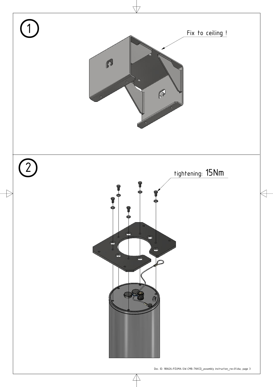

 $\triangle$ 

 $\frac{1}{2}$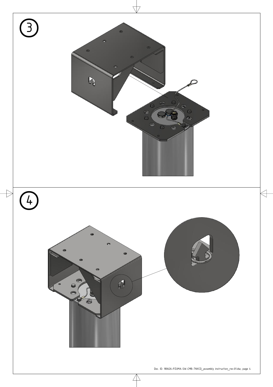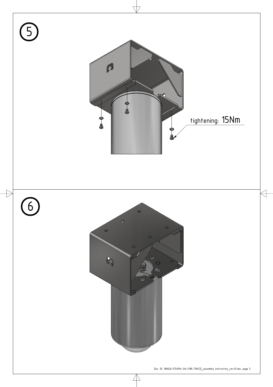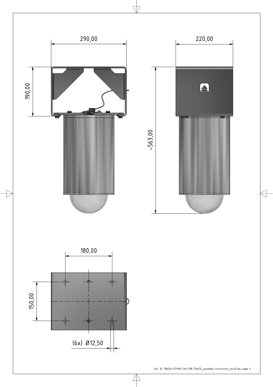

 $\overline{C}$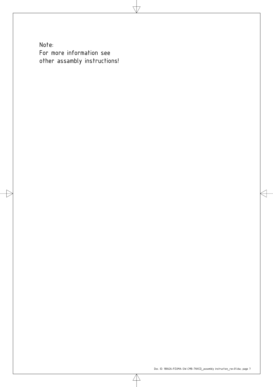Note: For more information see other assambly instructions! ΔŤ.

 $\triangle$